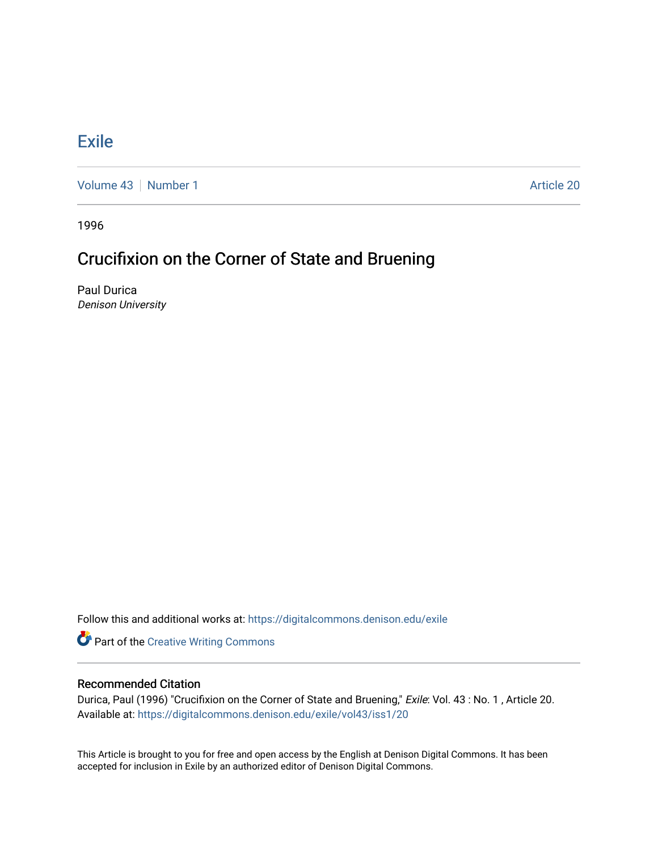## **[Exile](https://digitalcommons.denison.edu/exile)**

[Volume 43](https://digitalcommons.denison.edu/exile/vol43) [Number 1](https://digitalcommons.denison.edu/exile/vol43/iss1) Article 20

1996

## Crucifixion on the Corner of State and Bruening

Paul Durica Denison University

Follow this and additional works at: [https://digitalcommons.denison.edu/exile](https://digitalcommons.denison.edu/exile?utm_source=digitalcommons.denison.edu%2Fexile%2Fvol43%2Fiss1%2F20&utm_medium=PDF&utm_campaign=PDFCoverPages) 

**Part of the Creative Writing Commons** 

## Recommended Citation

Durica, Paul (1996) "Crucifixion on the Corner of State and Bruening," Exile: Vol. 43 : No. 1 , Article 20. Available at: [https://digitalcommons.denison.edu/exile/vol43/iss1/20](https://digitalcommons.denison.edu/exile/vol43/iss1/20?utm_source=digitalcommons.denison.edu%2Fexile%2Fvol43%2Fiss1%2F20&utm_medium=PDF&utm_campaign=PDFCoverPages)

This Article is brought to you for free and open access by the English at Denison Digital Commons. It has been accepted for inclusion in Exile by an authorized editor of Denison Digital Commons.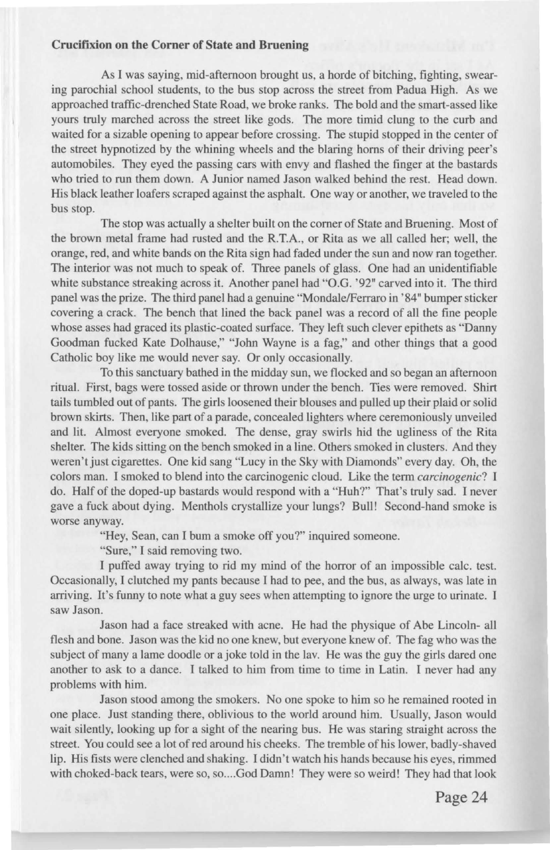## **Crucifixion on the Corner of State and Bruening**

As I was saying, mid-afternoon brought us, a horde of bitching, fighting, swearing parochial school students, to the bus stop across the street from Padua High. As we approached traffic-drenched State Road, we broke ranks. The bold and the smart-assed like yours truly marched across the street like gods. The more timid clung to the curb and waited for a sizable opening to appear before crossing. The stupid stopped in the center of the street hypnotized by the whining wheels and the blaring horns of their driving peer's automobiles. They eyed the passing cars with envy and flashed the finger at the bastards who tried to run them down. A Junior named Jason walked behind the rest. Head down. His black leather loafers scraped against the asphalt. One way or another, we traveled to the bus stop.

The stop was actually a shelter built on the corner of State and Bruening. Most of the brown metal frame had rusted and the R.T.A., or Rita as we all called her; well, the orange, red, and white bands on the Rita sign had faded under the sun and now ran together. The interior was not much to speak of. Three panels of glass. One had an unidentifiable white substance streaking across it. Another panel had "O.G. '92" carved into it. The third panel was the prize. The third panel had a genuine "Mondale/Ferraro in '84" bumper sticker covering a crack. The bench that lined the back panel was a record of all the fine people whose asses had graced its plastic-coated surface. They left such clever epithets as "Danny Goodman fucked Kate Dolhause," "John Wayne is a fag," and other things that a good Catholic boy like me would never say. Or only occasionally.

To this sanctuary bathed in the midday sun, we flocked and so began an afternoon ritual. First, bags were tossed aside or thrown under the bench. Ties were removed. Shirt tails tumbled out of pants. The girls loosened their blouses and pulled up their plaid or solid brown skirts. Then, like part of a parade, concealed lighters where ceremoniously unveiled and lit. Almost everyone smoked. The dense, gray swirls hid the ugliness of the Rita shelter. The kids sitting on the bench smoked in a line. Others smoked in clusters. And they weren't just cigarettes. One kid sang "Lucy in the Sky with Diamonds" every day. Oh, the colors man. I smoked to blend into the carcinogenic cloud. Like the term *carcinogenic?* I do. Half of the doped-up bastards would respond with a "Huh?" That's truly sad. I never gave a fuck about dying. Menthols crystallize your lungs? Bull! Second-hand smoke is worse anyway.

"Hey, Sean, can I bum a smoke off you?" inquired someone.

"Sure," I said removing two.

I puffed away trying to rid my mind of the horror of an impossible calc. test. Occasionally, I clutched my pants because I had to pee, and the bus, as always, was late in arriving. It's funny to note what a guy sees when attempting to ignore the urge to urinate. I saw Jason.

Jason had a face streaked with acne. He had the physique of Abe Lincoln- all flesh and bone. Jason was the kid no one knew, but everyone knew of. The fag who was the subject of many a lame doodle or a joke told in the lav. He was the guy the girls dared one another to ask to a dance. I talked to him from time to time in Latin. I never had any problems with him.

Jason stood among the smokers. No one spoke to him so he remained rooted in one place. Just standing there, oblivious to the world around him. Usually, Jason would wait silently, looking up for a sight of the nearing bus. He was staring straight across the street. You could see a lot of red around his cheeks. The tremble of his lower, badly-shaved lip. His fists were clenched and shaking. I didn 't watch his hands because his eyes, rimmed with choked-back tears, were so, so.... God Damn! They were so weird! They had that look